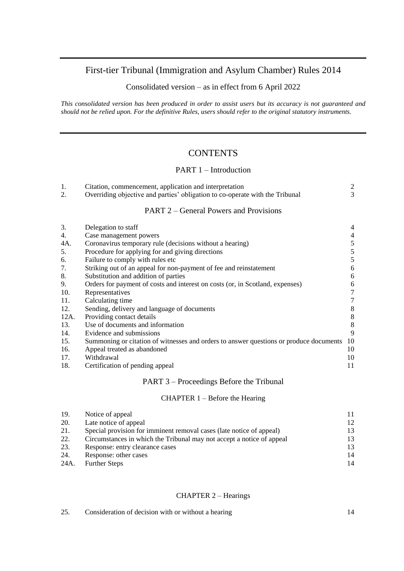# First-tier Tribunal (Immigration and Asylum Chamber) Rules 2014

Consolidated version – as in effect from 6 April 2022

*This consolidated version has been produced in order to assist users but its accuracy is not guaranteed and should not be relied upon. For the definitive Rules, users should refer to the original statutory instruments.* 

# **CONTENTS**

## PART 1 – Introduction

| 2. | Citation, commencement, application and interpretation<br>Overriding objective and parties' obligation to co-operate with the Tribunal |                |
|----|----------------------------------------------------------------------------------------------------------------------------------------|----------------|
|    | <b>PART 2 – General Powers and Provisions</b>                                                                                          |                |
| 3. | Delegation to staff                                                                                                                    | $\overline{4}$ |

| 4.   | Case management powers                                                                 | $\overline{4}$ |
|------|----------------------------------------------------------------------------------------|----------------|
| 4A.  | Coronavirus temporary rule (decisions without a hearing)                               | 5              |
| 5.   | Procedure for applying for and giving directions                                       | 5              |
| 6.   | Failure to comply with rules etc                                                       | 5              |
| 7.   | Striking out of an appeal for non-payment of fee and reinstatement                     | 6              |
| 8.   | Substitution and addition of parties                                                   | 6              |
| 9.   | Orders for payment of costs and interest on costs (or, in Scotland, expenses)          | 6              |
| 10.  | Representatives                                                                        | 7              |
| 11.  | Calculating time                                                                       | 7              |
| 12.  | Sending, delivery and language of documents                                            | 8              |
| 12A. | Providing contact details                                                              | 8              |
| 13.  | Use of documents and information                                                       | 8              |
| 14.  | Evidence and submissions                                                               | 9              |
| 15.  | Summoning or citation of witnesses and orders to answer questions or produce documents | 10             |
| 16.  | Appeal treated as abandoned                                                            | 10             |
| 17.  | Withdrawal                                                                             | 10             |
| 18.  | Certification of pending appeal                                                        | 11             |
|      |                                                                                        |                |

## PART 3 – Proceedings Before the Tribunal

## CHAPTER 1 – Before the Hearing

| 19.        | Notice of appeal                                                      |    |
|------------|-----------------------------------------------------------------------|----|
| <b>20.</b> | Late notice of appeal                                                 | 12 |
| 21.        | Special provision for imminent removal cases (late notice of appeal)  | 13 |
| 22.        | Circumstances in which the Tribunal may not accept a notice of appeal | 13 |
| 23.        | Response: entry clearance cases                                       | 13 |
| 24.        | Response: other cases                                                 | 14 |
| 24A.       | <b>Further Steps</b>                                                  | 14 |

## CHAPTER 2 – Hearings

| 25. | Consideration of decision with or without a hearing |  |
|-----|-----------------------------------------------------|--|
|     |                                                     |  |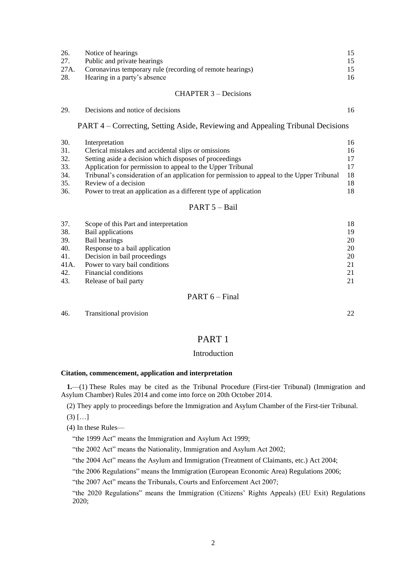| 26. | Notice of hearings                                             |    |
|-----|----------------------------------------------------------------|----|
| 27. | Public and private hearings                                    |    |
|     | 27A. Coronavirus temporary rule (recording of remote hearings) |    |
| 28. | Hearing in a party's absence                                   | 16 |
|     |                                                                |    |

## CHAPTER 3 – Decisions

29. [Decisions and notice of decisions](#page-15-1) 200 and  $\frac{16}{16}$ 

PART 4 – Correcting, Setting Aside, Reviewing and Appealing Tribunal Decisions

| 30. | Interpretation                                                                            | 16 |
|-----|-------------------------------------------------------------------------------------------|----|
| 31. | Clerical mistakes and accidental slips or omissions                                       | 16 |
| 32. | Setting aside a decision which disposes of proceedings                                    | 17 |
| 33. | Application for permission to appeal to the Upper Tribunal                                | 17 |
| 34. | Tribunal's consideration of an application for permission to appeal to the Upper Tribunal | 18 |
| 35. | Review of a decision                                                                      | 18 |
| 36. | Power to treat an application as a different type of application                          | 18 |

#### PART 5 – Bail

| 37.  | Scope of this Part and interpretation | 18 |
|------|---------------------------------------|----|
| 38.  | Bail applications                     | 19 |
| 39.  | Bail hearings                         | 20 |
| 40.  | Response to a bail application        | 20 |
| 41.  | Decision in bail proceedings          | 20 |
| 41A. | Power to vary bail conditions         | 21 |
| 42.  | Financial conditions                  | 21 |
| 43.  | Release of bail party                 | 21 |

## PART  $6$  – Final

46. [Transitional provision](#page-20-3) 22

## PART 1

## Introduction

## <span id="page-1-0"></span>**Citation, commencement, application and interpretation**

**1.**—(1) These Rules may be cited as the Tribunal Procedure (First-tier Tribunal) (Immigration and Asylum Chamber) Rules 2014 and come into force on 20th October 2014.

(2) They apply to proceedings before the Immigration and Asylum Chamber of the First-tier Tribunal.

 $(3)$   $[...]$ 

(4) In these Rules—

"the 1999 Act" means the Immigration and Asylum Act 1999;

"the 2002 Act" means the Nationality, Immigration and Asylum Act 2002;

"the 2004 Act" means the Asylum and Immigration (Treatment of Claimants, etc.) Act 2004;

"the 2006 Regulations" means the Immigration (European Economic Area) Regulations 2006;

"the 2007 Act" means the Tribunals, Courts and Enforcement Act 2007;

"the 2020 Regulations" means the Immigration (Citizens' Rights Appeals) (EU Exit) Regulations 2020;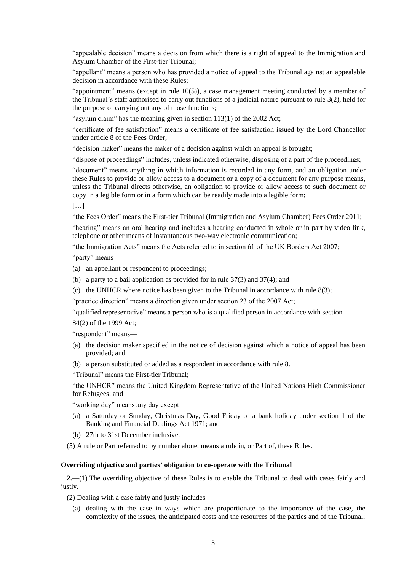"appealable decision" means a decision from which there is a right of appeal to the Immigration and Asylum Chamber of the First-tier Tribunal;

"appellant" means a person who has provided a notice of appeal to the Tribunal against an appealable decision in accordance with these Rules;

"appointment" means (except in rule  $10(5)$ ), a case management meeting conducted by a member of the Tribunal's staff authorised to carry out functions of a judicial nature pursuant to rule 3(2), held for the purpose of carrying out any of those functions;

"asylum claim" has the meaning given in section 113(1) of the 2002 Act;

"certificate of fee satisfaction" means a certificate of fee satisfaction issued by the Lord Chancellor under article 8 of the Fees Order;

"decision maker" means the maker of a decision against which an appeal is brought;

"dispose of proceedings" includes, unless indicated otherwise, disposing of a part of the proceedings;

"document" means anything in which information is recorded in any form, and an obligation under these Rules to provide or allow access to a document or a copy of a document for any purpose means, unless the Tribunal directs otherwise, an obligation to provide or allow access to such document or copy in a legible form or in a form which can be readily made into a legible form;

 $[\ldots]$ 

"the Fees Order" means the First-tier Tribunal (Immigration and Asylum Chamber) Fees Order 2011;

"hearing" means an oral hearing and includes a hearing conducted in whole or in part by video link, telephone or other means of instantaneous two-way electronic communication;

"the Immigration Acts" means the Acts referred to in section 61 of the UK Borders Act 2007;

"party" means—

- (a) an appellant or respondent to proceedings;
- (b) a party to a bail application as provided for in rule 37(3) and 37(4); and
- (c) the UNHCR where notice has been given to the Tribunal in accordance with rule 8(3);

"practice direction" means a direction given under section 23 of the 2007 Act;

"qualified representative" means a person who is a qualified person in accordance with section

84(2) of the 1999 Act;

"respondent" means—

- (a) the decision maker specified in the notice of decision against which a notice of appeal has been provided; and
- (b) a person substituted or added as a respondent in accordance with rule 8.

"Tribunal" means the First-tier Tribunal;

"the UNHCR" means the United Kingdom Representative of the United Nations High Commissioner for Refugees; and

"working day" means any day except—

- (a) a Saturday or Sunday, Christmas Day, Good Friday or a bank holiday under section 1 of the Banking and Financial Dealings Act 1971; and
- (b) 27th to 31st December inclusive.

<span id="page-2-0"></span>(5) A rule or Part referred to by number alone, means a rule in, or Part of, these Rules.

## **Overriding objective and parties' obligation to co-operate with the Tribunal**

**2.**—(1) The overriding objective of these Rules is to enable the Tribunal to deal with cases fairly and justly.

(2) Dealing with a case fairly and justly includes—

(a) dealing with the case in ways which are proportionate to the importance of the case, the complexity of the issues, the anticipated costs and the resources of the parties and of the Tribunal;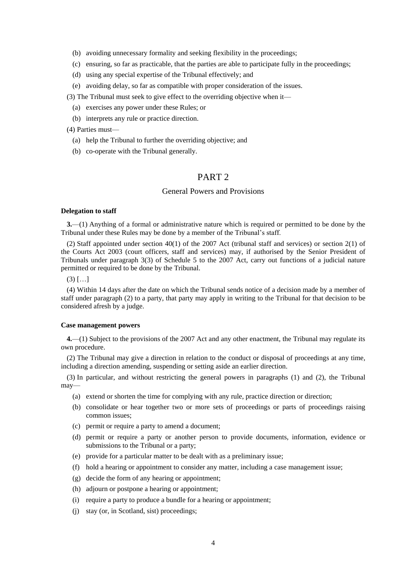- (b) avoiding unnecessary formality and seeking flexibility in the proceedings;
- (c) ensuring, so far as practicable, that the parties are able to participate fully in the proceedings;
- (d) using any special expertise of the Tribunal effectively; and
- (e) avoiding delay, so far as compatible with proper consideration of the issues.

(3) The Tribunal must seek to give effect to the overriding objective when it—

- (a) exercises any power under these Rules; or
- (b) interprets any rule or practice direction.

(4) Parties must—

- (a) help the Tribunal to further the overriding objective; and
- (b) co-operate with the Tribunal generally.

## PART 2

## General Powers and Provisions

#### <span id="page-3-0"></span>**Delegation to staff**

**3.**—(1) Anything of a formal or administrative nature which is required or permitted to be done by the Tribunal under these Rules may be done by a member of the Tribunal's staff.

(2) Staff appointed under section 40(1) of the 2007 Act (tribunal staff and services) or section 2(1) of the Courts Act 2003 (court officers, staff and services) may, if authorised by the Senior President of Tribunals under paragraph 3(3) of Schedule 5 to the 2007 Act, carry out functions of a judicial nature permitted or required to be done by the Tribunal.

 $(3)$   $[...]$ 

(4) Within 14 days after the date on which the Tribunal sends notice of a decision made by a member of staff under paragraph (2) to a party, that party may apply in writing to the Tribunal for that decision to be considered afresh by a judge.

### <span id="page-3-1"></span>**Case management powers**

**4.**—(1) Subject to the provisions of the 2007 Act and any other enactment, the Tribunal may regulate its own procedure.

(2) The Tribunal may give a direction in relation to the conduct or disposal of proceedings at any time, including a direction amending, suspending or setting aside an earlier direction.

(3) In particular, and without restricting the general powers in paragraphs (1) and (2), the Tribunal may—

- (a) extend or shorten the time for complying with any rule, practice direction or direction;
- (b) consolidate or hear together two or more sets of proceedings or parts of proceedings raising common issues;
- (c) permit or require a party to amend a document;
- (d) permit or require a party or another person to provide documents, information, evidence or submissions to the Tribunal or a party;
- (e) provide for a particular matter to be dealt with as a preliminary issue;
- (f) hold a hearing or appointment to consider any matter, including a case management issue;
- (g) decide the form of any hearing or appointment;
- (h) adjourn or postpone a hearing or appointment;
- (i) require a party to produce a bundle for a hearing or appointment;
- (j) stay (or, in Scotland, sist) proceedings;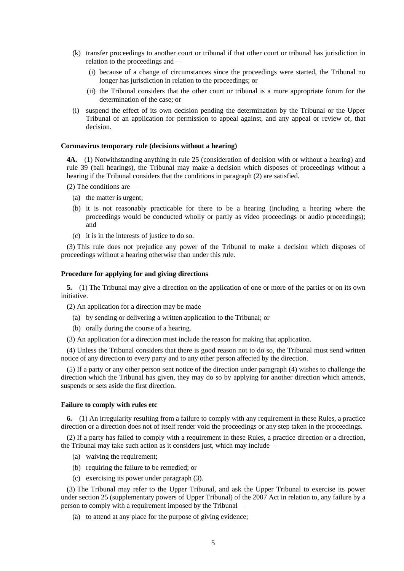- (k) transfer proceedings to another court or tribunal if that other court or tribunal has jurisdiction in relation to the proceedings and—
	- (i) because of a change of circumstances since the proceedings were started, the Tribunal no longer has jurisdiction in relation to the proceedings; or
	- (ii) the Tribunal considers that the other court or tribunal is a more appropriate forum for the determination of the case; or
- (l) suspend the effect of its own decision pending the determination by the Tribunal or the Upper Tribunal of an application for permission to appeal against, and any appeal or review of, that decision.

## <span id="page-4-0"></span>**Coronavirus temporary rule (decisions without a hearing)**

**4A.**—(1) Notwithstanding anything in rule 25 (consideration of decision with or without a hearing) and rule 39 (bail hearings), the Tribunal may make a decision which disposes of proceedings without a hearing if the Tribunal considers that the conditions in paragraph (2) are satisfied.

- (2) The conditions are—
	- (a) the matter is urgent;
	- (b) it is not reasonably practicable for there to be a hearing (including a hearing where the proceedings would be conducted wholly or partly as video proceedings or audio proceedings); and
	- (c) it is in the interests of justice to do so.

(3) This rule does not prejudice any power of the Tribunal to make a decision which disposes of proceedings without a hearing otherwise than under this rule.

#### <span id="page-4-1"></span>**Procedure for applying for and giving directions**

**5.**—(1) The Tribunal may give a direction on the application of one or more of the parties or on its own initiative.

(2) An application for a direction may be made—

- (a) by sending or delivering a written application to the Tribunal; or
- (b) orally during the course of a hearing.
- (3) An application for a direction must include the reason for making that application.

(4) Unless the Tribunal considers that there is good reason not to do so, the Tribunal must send written notice of any direction to every party and to any other person affected by the direction.

(5) If a party or any other person sent notice of the direction under paragraph (4) wishes to challenge the direction which the Tribunal has given, they may do so by applying for another direction which amends, suspends or sets aside the first direction.

#### <span id="page-4-2"></span>**Failure to comply with rules etc**

**6.**—(1) An irregularity resulting from a failure to comply with any requirement in these Rules, a practice direction or a direction does not of itself render void the proceedings or any step taken in the proceedings.

(2) If a party has failed to comply with a requirement in these Rules, a practice direction or a direction, the Tribunal may take such action as it considers just, which may include—

- (a) waiving the requirement;
- (b) requiring the failure to be remedied; or
- (c) exercising its power under paragraph (3).

(3) The Tribunal may refer to the Upper Tribunal, and ask the Upper Tribunal to exercise its power under section 25 (supplementary powers of Upper Tribunal) of the 2007 Act in relation to, any failure by a person to comply with a requirement imposed by the Tribunal—

(a) to attend at any place for the purpose of giving evidence;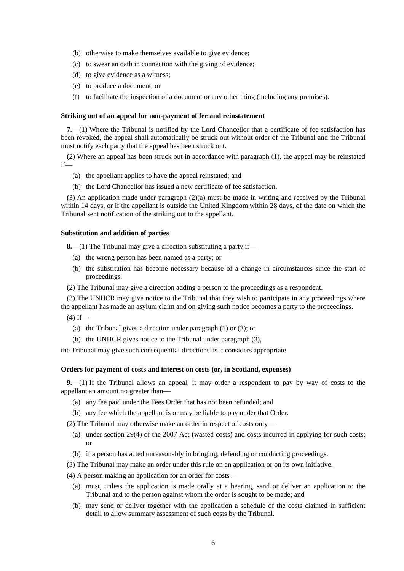- (b) otherwise to make themselves available to give evidence;
- (c) to swear an oath in connection with the giving of evidence;
- (d) to give evidence as a witness;
- (e) to produce a document; or
- (f) to facilitate the inspection of a document or any other thing (including any premises).

## <span id="page-5-0"></span>**Striking out of an appeal for non-payment of fee and reinstatement**

**7.**—(1) Where the Tribunal is notified by the Lord Chancellor that a certificate of fee satisfaction has been revoked, the appeal shall automatically be struck out without order of the Tribunal and the Tribunal must notify each party that the appeal has been struck out.

(2) Where an appeal has been struck out in accordance with paragraph (1), the appeal may be reinstated  $if$ — $\overline{f}$ 

- (a) the appellant applies to have the appeal reinstated; and
- (b) the Lord Chancellor has issued a new certificate of fee satisfaction.

(3) An application made under paragraph (2)(a) must be made in writing and received by the Tribunal within 14 days, or if the appellant is outside the United Kingdom within 28 days, of the date on which the Tribunal sent notification of the striking out to the appellant.

## <span id="page-5-1"></span>**Substitution and addition of parties**

**8.**—(1) The Tribunal may give a direction substituting a party if—

- (a) the wrong person has been named as a party; or
- (b) the substitution has become necessary because of a change in circumstances since the start of proceedings.
- (2) The Tribunal may give a direction adding a person to the proceedings as a respondent.

(3) The UNHCR may give notice to the Tribunal that they wish to participate in any proceedings where the appellant has made an asylum claim and on giving such notice becomes a party to the proceedings.

- $(4)$  If—
	- (a) the Tribunal gives a direction under paragraph (1) or (2); or
	- (b) the UNHCR gives notice to the Tribunal under paragraph (3),

<span id="page-5-2"></span>the Tribunal may give such consequential directions as it considers appropriate.

### **Orders for payment of costs and interest on costs (or, in Scotland, expenses)**

**9.**—(1) If the Tribunal allows an appeal, it may order a respondent to pay by way of costs to the appellant an amount no greater than—

- (a) any fee paid under the Fees Order that has not been refunded; and
- (b) any fee which the appellant is or may be liable to pay under that Order.

(2) The Tribunal may otherwise make an order in respect of costs only—

- (a) under section 29(4) of the 2007 Act (wasted costs) and costs incurred in applying for such costs; or
- (b) if a person has acted unreasonably in bringing, defending or conducting proceedings.
- (3) The Tribunal may make an order under this rule on an application or on its own initiative.
- (4) A person making an application for an order for costs—
	- (a) must, unless the application is made orally at a hearing, send or deliver an application to the Tribunal and to the person against whom the order is sought to be made; and
	- (b) may send or deliver together with the application a schedule of the costs claimed in sufficient detail to allow summary assessment of such costs by the Tribunal.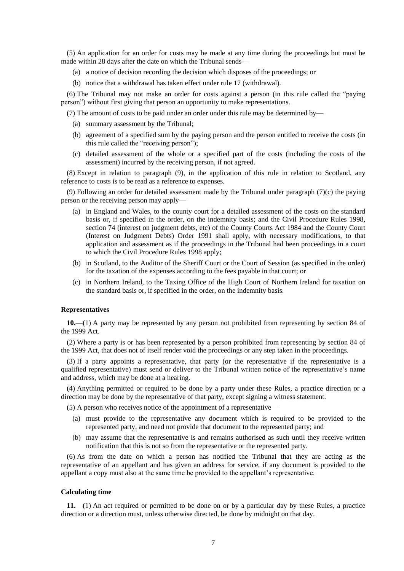(5) An application for an order for costs may be made at any time during the proceedings but must be made within 28 days after the date on which the Tribunal sends—

- (a) a notice of decision recording the decision which disposes of the proceedings; or
- (b) notice that a withdrawal has taken effect under rule 17 (withdrawal).

(6) The Tribunal may not make an order for costs against a person (in this rule called the "paying person") without first giving that person an opportunity to make representations.

(7) The amount of costs to be paid under an order under this rule may be determined by—

- (a) summary assessment by the Tribunal;
- (b) agreement of a specified sum by the paying person and the person entitled to receive the costs (in this rule called the "receiving person");
- (c) detailed assessment of the whole or a specified part of the costs (including the costs of the assessment) incurred by the receiving person, if not agreed.

(8) Except in relation to paragraph (9), in the application of this rule in relation to Scotland, any reference to costs is to be read as a reference to expenses.

(9) Following an order for detailed assessment made by the Tribunal under paragraph  $(7)(c)$  the paying person or the receiving person may apply—

- (a) in England and Wales, to the county court for a detailed assessment of the costs on the standard basis or, if specified in the order, on the indemnity basis; and the Civil Procedure Rules 1998, section 74 (interest on judgment debts, etc) of the County Courts Act 1984 and the County Court (Interest on Judgment Debts) Order 1991 shall apply, with necessary modifications, to that application and assessment as if the proceedings in the Tribunal had been proceedings in a court to which the Civil Procedure Rules 1998 apply;
- (b) in Scotland, to the Auditor of the Sheriff Court or the Court of Session (as specified in the order) for the taxation of the expenses according to the fees payable in that court; or
- (c) in Northern Ireland, to the Taxing Office of the High Court of Northern Ireland for taxation on the standard basis or, if specified in the order, on the indemnity basis.

## <span id="page-6-0"></span>**Representatives**

**10.**—(1) A party may be represented by any person not prohibited from representing by section 84 of the 1999 Act.

(2) Where a party is or has been represented by a person prohibited from representing by section 84 of the 1999 Act, that does not of itself render void the proceedings or any step taken in the proceedings.

(3) If a party appoints a representative, that party (or the representative if the representative is a qualified representative) must send or deliver to the Tribunal written notice of the representative's name and address, which may be done at a hearing.

(4) Anything permitted or required to be done by a party under these Rules, a practice direction or a direction may be done by the representative of that party, except signing a witness statement.

(5) A person who receives notice of the appointment of a representative—

- (a) must provide to the representative any document which is required to be provided to the represented party, and need not provide that document to the represented party; and
- (b) may assume that the representative is and remains authorised as such until they receive written notification that this is not so from the representative or the represented party.

(6) As from the date on which a person has notified the Tribunal that they are acting as the representative of an appellant and has given an address for service, if any document is provided to the appellant a copy must also at the same time be provided to the appellant's representative.

#### <span id="page-6-1"></span>**Calculating time**

**11.**—(1) An act required or permitted to be done on or by a particular day by these Rules, a practice direction or a direction must, unless otherwise directed, be done by midnight on that day.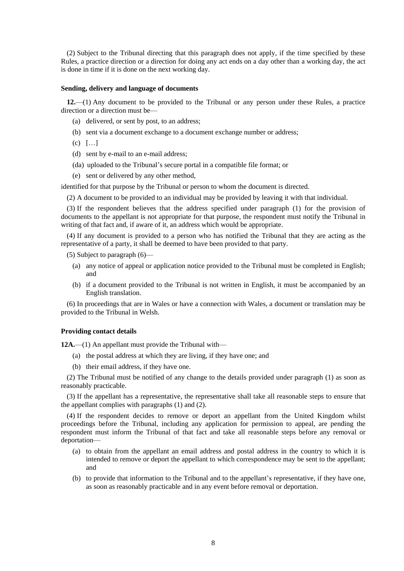<span id="page-7-2"></span>(2) Subject to the Tribunal directing that this paragraph does not apply, if the time specified by these Rules, a practice direction or a direction for doing any act ends on a day other than a working day, the act is done in time if it is done on the next working day.

### <span id="page-7-0"></span>**Sending, delivery and language of documents**

**12.**—(1) Any document to be provided to the Tribunal or any person under these Rules, a practice direction or a direction must be—

- (a) delivered, or sent by post, to an address;
- (b) sent via a document exchange to a document exchange number or address;
- (c) […]
- (d) sent by e-mail to an e-mail address;
- (da) uploaded to the Tribunal's secure portal in a compatible file format; or
- (e) sent or delivered by any other method,

identified for that purpose by the Tribunal or person to whom the document is directed.

(2) A document to be provided to an individual may be provided by leaving it with that individual.

(3) If the respondent believes that the address specified under paragraph (1) for the provision of documents to the appellant is not appropriate for that purpose, the respondent must notify the Tribunal in writing of that fact and, if aware of it, an address which would be appropriate.

(4) If any document is provided to a person who has notified the Tribunal that they are acting as the representative of a party, it shall be deemed to have been provided to that party.

(5) Subject to paragraph (6)—

- (a) any notice of appeal or application notice provided to the Tribunal must be completed in English; and
- (b) if a document provided to the Tribunal is not written in English, it must be accompanied by an English translation.

(6) In proceedings that are in Wales or have a connection with Wales, a document or translation may be provided to the Tribunal in Welsh.

## <span id="page-7-1"></span>**Providing contact details**

12A.—(1) An appellant must provide the Tribunal with—

- (a) the postal address at which they are living, if they have one; and
- (b) their email address, if they have one.

(2) The Tribunal must be notified of any change to the details provided under paragraph (1) as soon as reasonably practicable.

(3) If the appellant has a representative, the representative shall take all reasonable steps to ensure that the appellant complies with paragraphs (1) and (2).

(4) If the respondent decides to remove or deport an appellant from the United Kingdom whilst proceedings before the Tribunal, including any application for permission to appeal, are pending the respondent must inform the Tribunal of that fact and take all reasonable steps before any removal or deportation—

- (a) to obtain from the appellant an email address and postal address in the country to which it is intended to remove or deport the appellant to which correspondence may be sent to the appellant; and
- (b) to provide that information to the Tribunal and to the appellant's representative, if they have one, as soon as reasonably practicable and in any event before removal or deportation.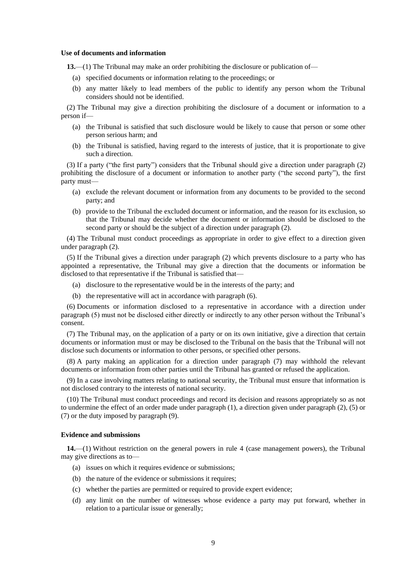### **Use of documents and information**

**13.**—(1) The Tribunal may make an order prohibiting the disclosure or publication of—

- (a) specified documents or information relating to the proceedings; or
- (b) any matter likely to lead members of the public to identify any person whom the Tribunal considers should not be identified.

(2) The Tribunal may give a direction prohibiting the disclosure of a document or information to a person if—

- (a) the Tribunal is satisfied that such disclosure would be likely to cause that person or some other person serious harm; and
- (b) the Tribunal is satisfied, having regard to the interests of justice, that it is proportionate to give such a direction.

(3) If a party ("the first party") considers that the Tribunal should give a direction under paragraph (2) prohibiting the disclosure of a document or information to another party ("the second party"), the first party must—

- (a) exclude the relevant document or information from any documents to be provided to the second party; and
- (b) provide to the Tribunal the excluded document or information, and the reason for its exclusion, so that the Tribunal may decide whether the document or information should be disclosed to the second party or should be the subject of a direction under paragraph (2).

(4) The Tribunal must conduct proceedings as appropriate in order to give effect to a direction given under paragraph (2).

(5) If the Tribunal gives a direction under paragraph (2) which prevents disclosure to a party who has appointed a representative, the Tribunal may give a direction that the documents or information be disclosed to that representative if the Tribunal is satisfied that—

- (a) disclosure to the representative would be in the interests of the party; and
- (b) the representative will act in accordance with paragraph (6).

(6) Documents or information disclosed to a representative in accordance with a direction under paragraph (5) must not be disclosed either directly or indirectly to any other person without the Tribunal's consent.

(7) The Tribunal may, on the application of a party or on its own initiative, give a direction that certain documents or information must or may be disclosed to the Tribunal on the basis that the Tribunal will not disclose such documents or information to other persons, or specified other persons.

(8) A party making an application for a direction under paragraph (7) may withhold the relevant documents or information from other parties until the Tribunal has granted or refused the application.

(9) In a case involving matters relating to national security, the Tribunal must ensure that information is not disclosed contrary to the interests of national security.

(10) The Tribunal must conduct proceedings and record its decision and reasons appropriately so as not to undermine the effect of an order made under paragraph (1), a direction given under paragraph (2), (5) or (7) or the duty imposed by paragraph (9).

## <span id="page-8-0"></span>**Evidence and submissions**

**14.**—(1) Without restriction on the general powers in rule 4 (case management powers), the Tribunal may give directions as to—

- (a) issues on which it requires evidence or submissions;
- (b) the nature of the evidence or submissions it requires;
- (c) whether the parties are permitted or required to provide expert evidence;
- (d) any limit on the number of witnesses whose evidence a party may put forward, whether in relation to a particular issue or generally;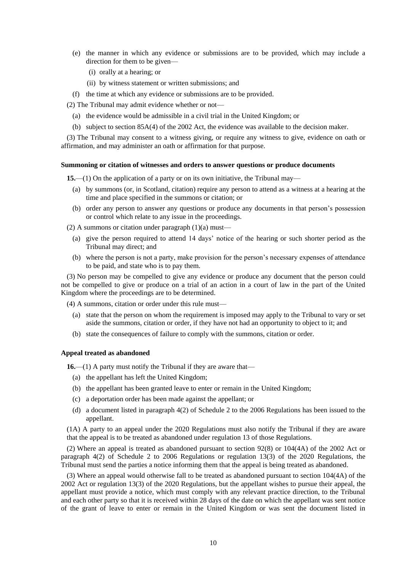- (e) the manner in which any evidence or submissions are to be provided, which may include a direction for them to be given—
	- (i) orally at a hearing; or
	- (ii) by witness statement or written submissions; and

(f) the time at which any evidence or submissions are to be provided.

(2) The Tribunal may admit evidence whether or not—

- (a) the evidence would be admissible in a civil trial in the United Kingdom; or
- (b) subject to section 85A(4) of the 2002 Act, the evidence was available to the decision maker.

(3) The Tribunal may consent to a witness giving, or require any witness to give, evidence on oath or affirmation, and may administer an oath or affirmation for that purpose.

#### <span id="page-9-0"></span>**Summoning or citation of witnesses and orders to answer questions or produce documents**

**15.**—(1) On the application of a party or on its own initiative, the Tribunal may—

- (a) by summons (or, in Scotland, citation) require any person to attend as a witness at a hearing at the time and place specified in the summons or citation; or
- (b) order any person to answer any questions or produce any documents in that person's possession or control which relate to any issue in the proceedings.

(2) A summons or citation under paragraph  $(1)(a)$  must—

- (a) give the person required to attend 14 days' notice of the hearing or such shorter period as the Tribunal may direct; and
- (b) where the person is not a party, make provision for the person's necessary expenses of attendance to be paid, and state who is to pay them.

(3) No person may be compelled to give any evidence or produce any document that the person could not be compelled to give or produce on a trial of an action in a court of law in the part of the United Kingdom where the proceedings are to be determined.

(4) A summons, citation or order under this rule must—

- (a) state that the person on whom the requirement is imposed may apply to the Tribunal to vary or set aside the summons, citation or order, if they have not had an opportunity to object to it; and
- (b) state the consequences of failure to comply with the summons, citation or order.

#### <span id="page-9-1"></span>**Appeal treated as abandoned**

**16.**—(1) A party must notify the Tribunal if they are aware that—

- (a) the appellant has left the United Kingdom;
- (b) the appellant has been granted leave to enter or remain in the United Kingdom;
- (c) a deportation order has been made against the appellant; or
- (d) a document listed in paragraph 4(2) of Schedule 2 to the 2006 Regulations has been issued to the appellant.

(1A) A party to an appeal under the 2020 Regulations must also notify the Tribunal if they are aware that the appeal is to be treated as abandoned under regulation 13 of those Regulations.

(2) Where an appeal is treated as abandoned pursuant to section 92(8) or 104(4A) of the 2002 Act or paragraph 4(2) of Schedule 2 to 2006 Regulations or regulation 13(3) of the 2020 Regulations, the Tribunal must send the parties a notice informing them that the appeal is being treated as abandoned.

(3) Where an appeal would otherwise fall to be treated as abandoned pursuant to section 104(4A) of the 2002 Act or regulation 13(3) of the 2020 Regulations, but the appellant wishes to pursue their appeal, the appellant must provide a notice, which must comply with any relevant practice direction, to the Tribunal and each other party so that it is received within 28 days of the date on which the appellant was sent notice of the grant of leave to enter or remain in the United Kingdom or was sent the document listed in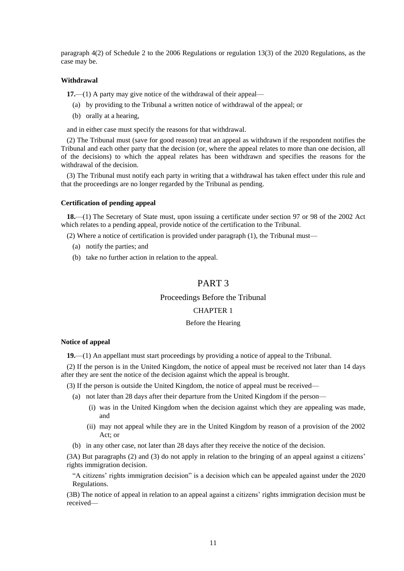paragraph 4(2) of Schedule 2 to the 2006 Regulations or regulation 13(3) of the 2020 Regulations, as the case may be.

## <span id="page-10-0"></span>**Withdrawal**

**17.**—(1) A party may give notice of the withdrawal of their appeal—

- (a) by providing to the Tribunal a written notice of withdrawal of the appeal; or
- (b) orally at a hearing,

and in either case must specify the reasons for that withdrawal.

(2) The Tribunal must (save for good reason) treat an appeal as withdrawn if the respondent notifies the Tribunal and each other party that the decision (or, where the appeal relates to more than one decision, all of the decisions) to which the appeal relates has been withdrawn and specifies the reasons for the withdrawal of the decision.

(3) The Tribunal must notify each party in writing that a withdrawal has taken effect under this rule and that the proceedings are no longer regarded by the Tribunal as pending.

### <span id="page-10-1"></span>**Certification of pending appeal**

**18.**—(1) The Secretary of State must, upon issuing a certificate under section 97 or 98 of the 2002 Act which relates to a pending appeal, provide notice of the certification to the Tribunal.

(2) Where a notice of certification is provided under paragraph (1), the Tribunal must—

- (a) notify the parties; and
- (b) take no further action in relation to the appeal.

## PART 3

## Proceedings Before the Tribunal

### CHAPTER 1

### Before the Hearing

#### **Notice of appeal**

**19.**—(1) An appellant must start proceedings by providing a notice of appeal to the Tribunal.

(2) If the person is in the United Kingdom, the notice of appeal must be received not later than 14 days after they are sent the notice of the decision against which the appeal is brought.

(3) If the person is outside the United Kingdom, the notice of appeal must be received—

- (a) not later than 28 days after their departure from the United Kingdom if the person—
	- (i) was in the United Kingdom when the decision against which they are appealing was made, and
	- (ii) may not appeal while they are in the United Kingdom by reason of a provision of the 2002 Act; or
- (b) in any other case, not later than 28 days after they receive the notice of the decision.

(3A) But paragraphs (2) and (3) do not apply in relation to the bringing of an appeal against a citizens' rights immigration decision.

"A citizens' rights immigration decision" is a decision which can be appealed against under the 2020 Regulations.

(3B) The notice of appeal in relation to an appeal against a citizens' rights immigration decision must be received—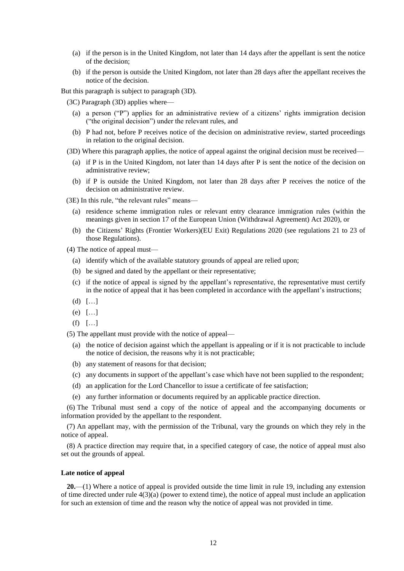- (a) if the person is in the United Kingdom, not later than 14 days after the appellant is sent the notice of the decision;
- (b) if the person is outside the United Kingdom, not later than 28 days after the appellant receives the notice of the decision.

But this paragraph is subject to paragraph (3D).

(3C) Paragraph (3D) applies where—

- (a) a person ("P") applies for an administrative review of a citizens' rights immigration decision ("the original decision") under the relevant rules, and
- (b) P had not, before P receives notice of the decision on administrative review, started proceedings in relation to the original decision.
- (3D) Where this paragraph applies, the notice of appeal against the original decision must be received—
	- (a) if P is in the United Kingdom, not later than 14 days after P is sent the notice of the decision on administrative review;
	- (b) if P is outside the United Kingdom, not later than 28 days after P receives the notice of the decision on administrative review.

(3E) In this rule, "the relevant rules" means—

- (a) residence scheme immigration rules or relevant entry clearance immigration rules (within the meanings given in section 17 of the European Union (Withdrawal Agreement) Act 2020), or
- (b) the Citizens' Rights (Frontier Workers)(EU Exit) Regulations 2020 (see regulations 21 to 23 of those Regulations).

(4) The notice of appeal must—

- (a) identify which of the available statutory grounds of appeal are relied upon;
- (b) be signed and dated by the appellant or their representative;
- (c) if the notice of appeal is signed by the appellant's representative, the representative must certify in the notice of appeal that it has been completed in accordance with the appellant's instructions;
- (d) […]
- (e) […]
- (f) […]

(5) The appellant must provide with the notice of appeal—

- (a) the notice of decision against which the appellant is appealing or if it is not practicable to include the notice of decision, the reasons why it is not practicable;
- (b) any statement of reasons for that decision;
- (c) any documents in support of the appellant's case which have not been supplied to the respondent;
- (d) an application for the Lord Chancellor to issue a certificate of fee satisfaction;
- (e) any further information or documents required by an applicable practice direction.

(6) The Tribunal must send a copy of the notice of appeal and the accompanying documents or information provided by the appellant to the respondent.

(7) An appellant may, with the permission of the Tribunal, vary the grounds on which they rely in the notice of appeal.

(8) A practice direction may require that, in a specified category of case, the notice of appeal must also set out the grounds of appeal.

#### <span id="page-11-0"></span>**Late notice of appeal**

**20.**—(1) Where a notice of appeal is provided outside the time limit in rule 19, including any extension of time directed under rule  $4(3)(a)$  (power to extend time), the notice of appeal must include an application for such an extension of time and the reason why the notice of appeal was not provided in time.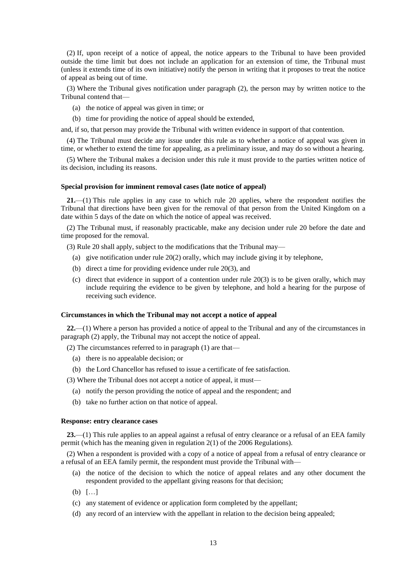(2) If, upon receipt of a notice of appeal, the notice appears to the Tribunal to have been provided outside the time limit but does not include an application for an extension of time, the Tribunal must (unless it extends time of its own initiative) notify the person in writing that it proposes to treat the notice of appeal as being out of time.

(3) Where the Tribunal gives notification under paragraph (2), the person may by written notice to the Tribunal contend that—

- (a) the notice of appeal was given in time; or
- (b) time for providing the notice of appeal should be extended,

and, if so, that person may provide the Tribunal with written evidence in support of that contention.

(4) The Tribunal must decide any issue under this rule as to whether a notice of appeal was given in time, or whether to extend the time for appealing, as a preliminary issue, and may do so without a hearing.

(5) Where the Tribunal makes a decision under this rule it must provide to the parties written notice of its decision, including its reasons.

### <span id="page-12-0"></span>**Special provision for imminent removal cases (late notice of appeal)**

**21.**—(1) This rule applies in any case to which rule 20 applies, where the respondent notifies the Tribunal that directions have been given for the removal of that person from the United Kingdom on a date within 5 days of the date on which the notice of appeal was received.

(2) The Tribunal must, if reasonably practicable, make any decision under rule 20 before the date and time proposed for the removal.

(3) Rule 20 shall apply, subject to the modifications that the Tribunal may—

- (a) give notification under rule 20(2) orally, which may include giving it by telephone,
- (b) direct a time for providing evidence under rule 20(3), and
- (c) direct that evidence in support of a contention under rule 20(3) is to be given orally, which may include requiring the evidence to be given by telephone, and hold a hearing for the purpose of receiving such evidence.

#### <span id="page-12-1"></span>**Circumstances in which the Tribunal may not accept a notice of appeal**

**22.**—(1) Where a person has provided a notice of appeal to the Tribunal and any of the circumstances in paragraph (2) apply, the Tribunal may not accept the notice of appeal.

(2) The circumstances referred to in paragraph (1) are that—

- (a) there is no appealable decision; or
- (b) the Lord Chancellor has refused to issue a certificate of fee satisfaction.

(3) Where the Tribunal does not accept a notice of appeal, it must—

- (a) notify the person providing the notice of appeal and the respondent; and
- (b) take no further action on that notice of appeal.

## <span id="page-12-2"></span>**Response: entry clearance cases**

**23.**—(1) This rule applies to an appeal against a refusal of entry clearance or a refusal of an EEA family permit (which has the meaning given in regulation 2(1) of the 2006 Regulations).

(2) When a respondent is provided with a copy of a notice of appeal from a refusal of entry clearance or a refusal of an EEA family permit, the respondent must provide the Tribunal with—

- (a) the notice of the decision to which the notice of appeal relates and any other document the respondent provided to the appellant giving reasons for that decision;
- (b) […]
- (c) any statement of evidence or application form completed by the appellant;
- (d) any record of an interview with the appellant in relation to the decision being appealed;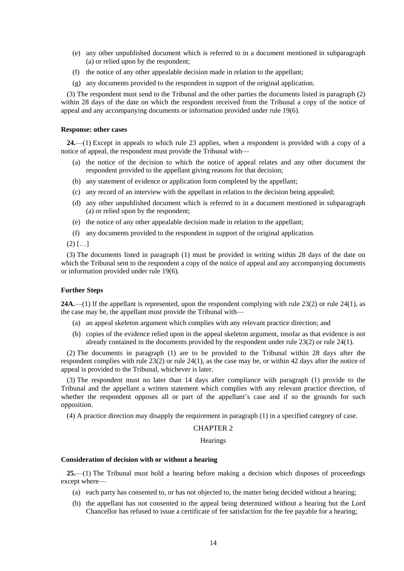- (e) any other unpublished document which is referred to in a document mentioned in subparagraph (a) or relied upon by the respondent;
- (f) the notice of any other appealable decision made in relation to the appellant;
- (g) any documents provided to the respondent in support of the original application.

(3) The respondent must send to the Tribunal and the other parties the documents listed in paragraph (2) within 28 days of the date on which the respondent received from the Tribunal a copy of the notice of appeal and any accompanying documents or information provided under rule 19(6).

## <span id="page-13-0"></span>**Response: other cases**

**24.**—(1) Except in appeals to which rule 23 applies, when a respondent is provided with a copy of a notice of appeal, the respondent must provide the Tribunal with—

- (a) the notice of the decision to which the notice of appeal relates and any other document the respondent provided to the appellant giving reasons for that decision;
- (b) any statement of evidence or application form completed by the appellant;
- (c) any record of an interview with the appellant in relation to the decision being appealed;
- (d) any other unpublished document which is referred to in a document mentioned in subparagraph (a) or relied upon by the respondent;
- (e) the notice of any other appealable decision made in relation to the appellant;
- (f) any documents provided to the respondent in support of the original application.
- $(2)$   $[...]$

(3) The documents listed in paragraph (1) must be provided in writing within 28 days of the date on which the Tribunal sent to the respondent a copy of the notice of appeal and any accompanying documents or information provided under rule 19(6).

#### <span id="page-13-1"></span>**Further Steps**

**24A.**—(1) If the appellant is represented, upon the respondent complying with rule 23(2) or rule 24(1), as the case may be, the appellant must provide the Tribunal with—

- (a) an appeal skeleton argument which complies with any relevant practice direction; and
- (b) copies of the evidence relied upon in the appeal skeleton argument, insofar as that evidence is not already contained in the documents provided by the respondent under rule 23(2) or rule 24(1).

(2) The documents in paragraph (1) are to be provided to the Tribunal within 28 days after the respondent complies with rule 23(2) or rule 24(1), as the case may be, or within 42 days after the notice of appeal is provided to the Tribunal, whichever is later.

(3) The respondent must no later than 14 days after compliance with paragraph (1) provide to the Tribunal and the appellant a written statement which complies with any relevant practice direction, of whether the respondent opposes all or part of the appellant's case and if so the grounds for such opposition.

(4) A practice direction may disapply the requirement in paragraph (1) in a specified category of case.

## CHAPTER 2

**Hearings** 

## <span id="page-13-2"></span>**Consideration of decision with or without a hearing**

**25.**—(1) The Tribunal must hold a hearing before making a decision which disposes of proceedings except where—

- (a) each party has consented to, or has not objected to, the matter being decided without a hearing;
- (b) the appellant has not consented to the appeal being determined without a hearing but the Lord Chancellor has refused to issue a certificate of fee satisfaction for the fee payable for a hearing;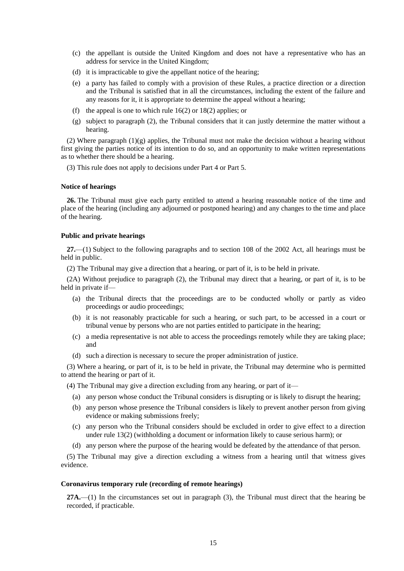- (c) the appellant is outside the United Kingdom and does not have a representative who has an address for service in the United Kingdom;
- (d) it is impracticable to give the appellant notice of the hearing;
- (e) a party has failed to comply with a provision of these Rules, a practice direction or a direction and the Tribunal is satisfied that in all the circumstances, including the extent of the failure and any reasons for it, it is appropriate to determine the appeal without a hearing;
- (f) the appeal is one to which rule  $16(2)$  or  $18(2)$  applies; or
- (g) subject to paragraph (2), the Tribunal considers that it can justly determine the matter without a hearing.

(2) Where paragraph  $(1)(g)$  applies, the Tribunal must not make the decision without a hearing without first giving the parties notice of its intention to do so, and an opportunity to make written representations as to whether there should be a hearing.

<span id="page-14-0"></span>(3) This rule does not apply to decisions under Part 4 or Part 5.

## **Notice of hearings**

**26.** The Tribunal must give each party entitled to attend a hearing reasonable notice of the time and place of the hearing (including any adjourned or postponed hearing) and any changes to the time and place of the hearing.

## <span id="page-14-1"></span>**Public and private hearings**

**27.**—(1) Subject to the following paragraphs and to section 108 of the 2002 Act, all hearings must be held in public.

(2) The Tribunal may give a direction that a hearing, or part of it, is to be held in private.

(2A) Without prejudice to paragraph (2), the Tribunal may direct that a hearing, or part of it, is to be held in private if—

- (a) the Tribunal directs that the proceedings are to be conducted wholly or partly as video proceedings or audio proceedings;
- (b) it is not reasonably practicable for such a hearing, or such part, to be accessed in a court or tribunal venue by persons who are not parties entitled to participate in the hearing;
- (c) a media representative is not able to access the proceedings remotely while they are taking place; and
- (d) such a direction is necessary to secure the proper administration of justice.

(3) Where a hearing, or part of it, is to be held in private, the Tribunal may determine who is permitted to attend the hearing or part of it.

(4) The Tribunal may give a direction excluding from any hearing, or part of it—

- (a) any person whose conduct the Tribunal considers is disrupting or is likely to disrupt the hearing;
- (b) any person whose presence the Tribunal considers is likely to prevent another person from giving evidence or making submissions freely;
- (c) any person who the Tribunal considers should be excluded in order to give effect to a direction under rule 13(2) (withholding a document or information likely to cause serious harm); or
- (d) any person where the purpose of the hearing would be defeated by the attendance of that person.

(5) The Tribunal may give a direction excluding a witness from a hearing until that witness gives evidence.

## <span id="page-14-2"></span>**Coronavirus temporary rule (recording of remote hearings)**

**27A.**—(1) In the circumstances set out in paragraph (3), the Tribunal must direct that the hearing be recorded, if practicable.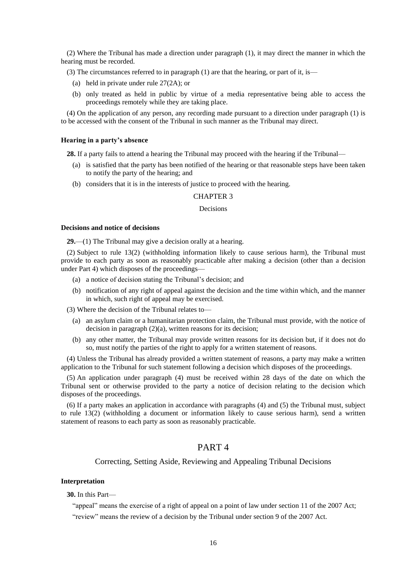<span id="page-15-3"></span>(2) Where the Tribunal has made a direction under paragraph (1), it may direct the manner in which the hearing must be recorded.

(3) The circumstances referred to in paragraph (1) are that the hearing, or part of it, is—

- (a) held in private under rule 27(2A); or
- (b) only treated as held in public by virtue of a media representative being able to access the proceedings remotely while they are taking place.

(4) On the application of any person, any recording made pursuant to a direction under paragraph (1) is to be accessed with the consent of the Tribunal in such manner as the Tribunal may direct.

#### <span id="page-15-0"></span>**Hearing in a party's absence**

**28.** If a party fails to attend a hearing the Tribunal may proceed with the hearing if the Tribunal—

- (a) is satisfied that the party has been notified of the hearing or that reasonable steps have been taken to notify the party of the hearing; and
- (b) considers that it is in the interests of justice to proceed with the hearing.

## CHAPTER 3

#### Decisions

#### <span id="page-15-1"></span>**Decisions and notice of decisions**

**29.**—(1) The Tribunal may give a decision orally at a hearing.

(2) Subject to rule 13(2) (withholding information likely to cause serious harm), the Tribunal must provide to each party as soon as reasonably practicable after making a decision (other than a decision under Part 4) which disposes of the proceedings—

- (a) a notice of decision stating the Tribunal's decision; and
- (b) notification of any right of appeal against the decision and the time within which, and the manner in which, such right of appeal may be exercised.

(3) Where the decision of the Tribunal relates to—

- (a) an asylum claim or a humanitarian protection claim, the Tribunal must provide, with the notice of decision in paragraph (2)(a), written reasons for its decision;
- (b) any other matter, the Tribunal may provide written reasons for its decision but, if it does not do so, must notify the parties of the right to apply for a written statement of reasons.

(4) Unless the Tribunal has already provided a written statement of reasons, a party may make a written application to the Tribunal for such statement following a decision which disposes of the proceedings.

(5) An application under paragraph (4) must be received within 28 days of the date on which the Tribunal sent or otherwise provided to the party a notice of decision relating to the decision which disposes of the proceedings.

(6) If a party makes an application in accordance with paragraphs (4) and (5) the Tribunal must, subject to rule 13(2) (withholding a document or information likely to cause serious harm), send a written statement of reasons to each party as soon as reasonably practicable.

## PART 4

## Correcting, Setting Aside, Reviewing and Appealing Tribunal Decisions

### <span id="page-15-2"></span>**Interpretation**

**30.** In this Part—

"appeal" means the exercise of a right of appeal on a point of law under section 11 of the 2007 Act; "review" means the review of a decision by the Tribunal under section 9 of the 2007 Act.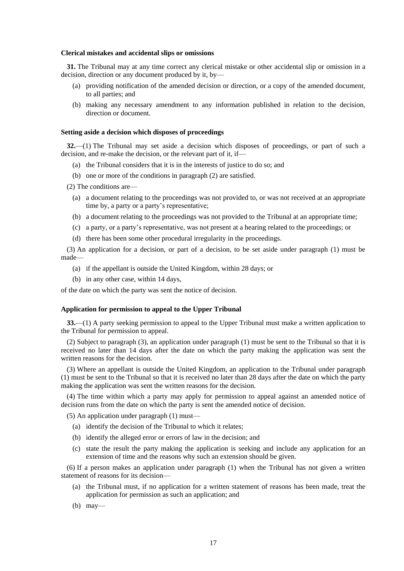#### **Clerical mistakes and accidental slips or omissions**

**31.** The Tribunal may at any time correct any clerical mistake or other accidental slip or omission in a decision, direction or any document produced by it, by—

- (a) providing notification of the amended decision or direction, or a copy of the amended document, to all parties; and
- (b) making any necessary amendment to any information published in relation to the decision, direction or document.

#### <span id="page-16-0"></span>**Setting aside a decision which disposes of proceedings**

**32.**—(1) The Tribunal may set aside a decision which disposes of proceedings, or part of such a decision, and re-make the decision, or the relevant part of it, if—

- (a) the Tribunal considers that it is in the interests of justice to do so; and
- (b) one or more of the conditions in paragraph (2) are satisfied.

(2) The conditions are—

- (a) a document relating to the proceedings was not provided to, or was not received at an appropriate time by, a party or a party's representative;
- (b) a document relating to the proceedings was not provided to the Tribunal at an appropriate time;
- (c) a party, or a party's representative, was not present at a hearing related to the proceedings; or
- (d) there has been some other procedural irregularity in the proceedings.

(3) An application for a decision, or part of a decision, to be set aside under paragraph (1) must be made—

- (a) if the appellant is outside the United Kingdom, within 28 days; or
- (b) in any other case, within 14 days,

<span id="page-16-1"></span>of the date on which the party was sent the notice of decision.

#### **Application for permission to appeal to the Upper Tribunal**

**33.**—(1) A party seeking permission to appeal to the Upper Tribunal must make a written application to the Tribunal for permission to appeal.

(2) Subject to paragraph (3), an application under paragraph (1) must be sent to the Tribunal so that it is received no later than 14 days after the date on which the party making the application was sent the written reasons for the decision.

(3) Where an appellant is outside the United Kingdom, an application to the Tribunal under paragraph (1) must be sent to the Tribunal so that it is received no later than 28 days after the date on which the party making the application was sent the written reasons for the decision.

(4) The time within which a party may apply for permission to appeal against an amended notice of decision runs from the date on which the party is sent the amended notice of decision.

(5) An application under paragraph (1) must—

- (a) identify the decision of the Tribunal to which it relates;
- (b) identify the alleged error or errors of law in the decision; and
- (c) state the result the party making the application is seeking and include any application for an extension of time and the reasons why such an extension should be given.

(6) If a person makes an application under paragraph (1) when the Tribunal has not given a written statement of reasons for its decision—

- (a) the Tribunal must, if no application for a written statement of reasons has been made, treat the application for permission as such an application; and
- (b) may—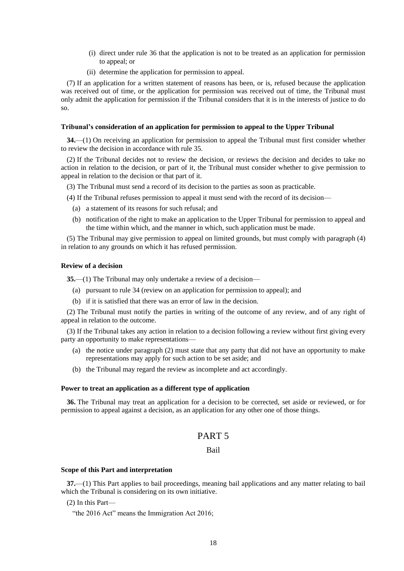- (i) direct under rule 36 that the application is not to be treated as an application for permission to appeal; or
- (ii) determine the application for permission to appeal.

(7) If an application for a written statement of reasons has been, or is, refused because the application was received out of time, or the application for permission was received out of time, the Tribunal must only admit the application for permission if the Tribunal considers that it is in the interests of justice to do so.

### <span id="page-17-0"></span>**Tribunal's consideration of an application for permission to appeal to the Upper Tribunal**

**34.**—(1) On receiving an application for permission to appeal the Tribunal must first consider whether to review the decision in accordance with rule 35.

(2) If the Tribunal decides not to review the decision, or reviews the decision and decides to take no action in relation to the decision, or part of it, the Tribunal must consider whether to give permission to appeal in relation to the decision or that part of it.

- (3) The Tribunal must send a record of its decision to the parties as soon as practicable.
- (4) If the Tribunal refuses permission to appeal it must send with the record of its decision—
	- (a) a statement of its reasons for such refusal; and
	- (b) notification of the right to make an application to the Upper Tribunal for permission to appeal and the time within which, and the manner in which, such application must be made.

(5) The Tribunal may give permission to appeal on limited grounds, but must comply with paragraph (4) in relation to any grounds on which it has refused permission.

## <span id="page-17-1"></span>**Review of a decision**

**35.**—(1) The Tribunal may only undertake a review of a decision—

- (a) pursuant to rule 34 (review on an application for permission to appeal); and
- (b) if it is satisfied that there was an error of law in the decision.

(2) The Tribunal must notify the parties in writing of the outcome of any review, and of any right of appeal in relation to the outcome.

(3) If the Tribunal takes any action in relation to a decision following a review without first giving every party an opportunity to make representations—

- (a) the notice under paragraph (2) must state that any party that did not have an opportunity to make representations may apply for such action to be set aside; and
- (b) the Tribunal may regard the review as incomplete and act accordingly.

#### <span id="page-17-2"></span>**Power to treat an application as a different type of application**

**36.** The Tribunal may treat an application for a decision to be corrected, set aside or reviewed, or for permission to appeal against a decision, as an application for any other one of those things.

## PART 5

## Bail

#### <span id="page-17-3"></span>**Scope of this Part and interpretation**

**37.**—(1) This Part applies to bail proceedings, meaning bail applications and any matter relating to bail which the Tribunal is considering on its own initiative.

(2) In this Part—

"the 2016 Act" means the Immigration Act 2016;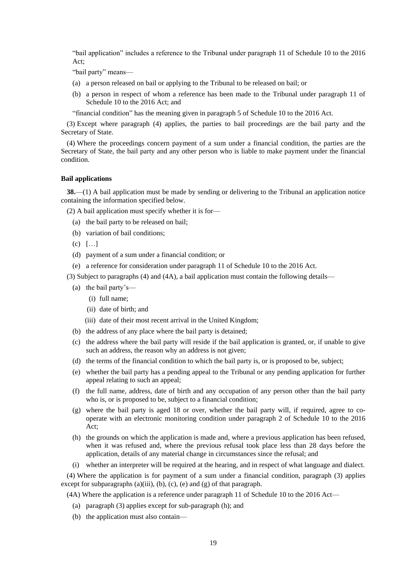"bail application" includes a reference to the Tribunal under paragraph 11 of Schedule 10 to the 2016  $Act^*$ 

"bail party" means—

- (a) a person released on bail or applying to the Tribunal to be released on bail; or
- (b) a person in respect of whom a reference has been made to the Tribunal under paragraph 11 of Schedule 10 to the 2016 Act; and

"financial condition" has the meaning given in paragraph 5 of Schedule 10 to the 2016 Act.

(3) Except where paragraph (4) applies, the parties to bail proceedings are the bail party and the Secretary of State.

(4) Where the proceedings concern payment of a sum under a financial condition, the parties are the Secretary of State, the bail party and any other person who is liable to make payment under the financial condition.

## <span id="page-18-0"></span>**Bail applications**

**38.**—(1) A bail application must be made by sending or delivering to the Tribunal an application notice containing the information specified below.

(2) A bail application must specify whether it is for—

- (a) the bail party to be released on bail;
- (b) variation of bail conditions;
- (c) […]
- (d) payment of a sum under a financial condition; or
- (e) a reference for consideration under paragraph 11 of Schedule 10 to the 2016 Act.

(3) Subject to paragraphs (4) and (4A), a bail application must contain the following details—

- (a) the bail party's—
	- (i) full name;
	- (ii) date of birth; and
	- (iii) date of their most recent arrival in the United Kingdom;
- (b) the address of any place where the bail party is detained;
- (c) the address where the bail party will reside if the bail application is granted, or, if unable to give such an address, the reason why an address is not given;
- (d) the terms of the financial condition to which the bail party is, or is proposed to be, subject;
- (e) whether the bail party has a pending appeal to the Tribunal or any pending application for further appeal relating to such an appeal;
- (f) the full name, address, date of birth and any occupation of any person other than the bail party who is, or is proposed to be, subject to a financial condition;
- (g) where the bail party is aged 18 or over, whether the bail party will, if required, agree to cooperate with an electronic monitoring condition under paragraph 2 of Schedule 10 to the 2016 Act;
- (h) the grounds on which the application is made and, where a previous application has been refused, when it was refused and, where the previous refusal took place less than 28 days before the application, details of any material change in circumstances since the refusal; and
- (i) whether an interpreter will be required at the hearing, and in respect of what language and dialect.

(4) Where the application is for payment of a sum under a financial condition, paragraph (3) applies except for subparagraphs (a)(iii), (b), (c), (e) and (g) of that paragraph.

(4A) Where the application is a reference under paragraph 11 of Schedule 10 to the 2016 Act—

- (a) paragraph (3) applies except for sub-paragraph (h); and
- (b) the application must also contain—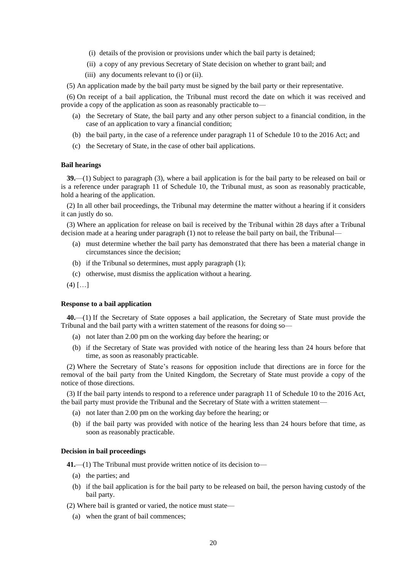- (i) details of the provision or provisions under which the bail party is detained;
- (ii) a copy of any previous Secretary of State decision on whether to grant bail; and
- (iii) any documents relevant to (i) or (ii).

(5) An application made by the bail party must be signed by the bail party or their representative.

(6) On receipt of a bail application, the Tribunal must record the date on which it was received and provide a copy of the application as soon as reasonably practicable to—

- (a) the Secretary of State, the bail party and any other person subject to a financial condition, in the case of an application to vary a financial condition;
- (b) the bail party, in the case of a reference under paragraph 11 of Schedule 10 to the 2016 Act; and
- (c) the Secretary of State, in the case of other bail applications.

#### <span id="page-19-0"></span>**Bail hearings**

**39.**—(1) Subject to paragraph (3), where a bail application is for the bail party to be released on bail or is a reference under paragraph 11 of Schedule 10, the Tribunal must, as soon as reasonably practicable, hold a hearing of the application.

(2) In all other bail proceedings, the Tribunal may determine the matter without a hearing if it considers it can justly do so.

(3) Where an application for release on bail is received by the Tribunal within 28 days after a Tribunal decision made at a hearing under paragraph (1) not to release the bail party on bail, the Tribunal—

- (a) must determine whether the bail party has demonstrated that there has been a material change in circumstances since the decision;
- (b) if the Tribunal so determines, must apply paragraph (1);
- (c) otherwise, must dismiss the application without a hearing.

<span id="page-19-1"></span> $(4)$   $[...]$ 

#### **Response to a bail application**

**40.**—(1) If the Secretary of State opposes a bail application, the Secretary of State must provide the Tribunal and the bail party with a written statement of the reasons for doing so—

- (a) not later than 2.00 pm on the working day before the hearing; or
- (b) if the Secretary of State was provided with notice of the hearing less than 24 hours before that time, as soon as reasonably practicable.

(2) Where the Secretary of State's reasons for opposition include that directions are in force for the removal of the bail party from the United Kingdom, the Secretary of State must provide a copy of the notice of those directions.

(3) If the bail party intends to respond to a reference under paragraph 11 of Schedule 10 to the 2016 Act, the bail party must provide the Tribunal and the Secretary of State with a written statement—

- (a) not later than 2.00 pm on the working day before the hearing; or
- (b) if the bail party was provided with notice of the hearing less than 24 hours before that time, as soon as reasonably practicable.

## <span id="page-19-2"></span>**Decision in bail proceedings**

**41.**—(1) The Tribunal must provide written notice of its decision to—

- (a) the parties; and
- (b) if the bail application is for the bail party to be released on bail, the person having custody of the bail party.

(2) Where bail is granted or varied, the notice must state—

(a) when the grant of bail commences;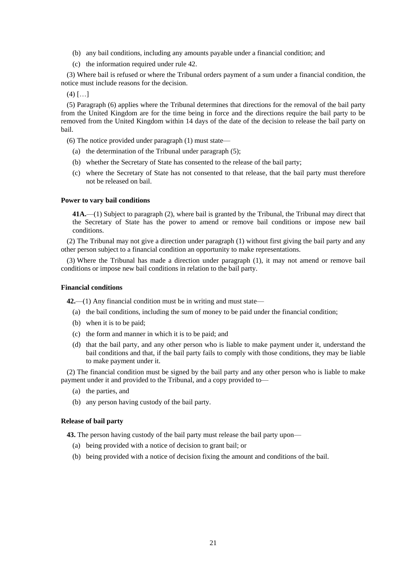- <span id="page-20-3"></span>(b) any bail conditions, including any amounts payable under a financial condition; and
- (c) the information required under rule 42.

(3) Where bail is refused or where the Tribunal orders payment of a sum under a financial condition, the notice must include reasons for the decision.

 $(4)$   $[...]$ 

(5) Paragraph (6) applies where the Tribunal determines that directions for the removal of the bail party from the United Kingdom are for the time being in force and the directions require the bail party to be removed from the United Kingdom within 14 days of the date of the decision to release the bail party on bail.

(6) The notice provided under paragraph (1) must state—

- (a) the determination of the Tribunal under paragraph (5);
- (b) whether the Secretary of State has consented to the release of the bail party;
- (c) where the Secretary of State has not consented to that release, that the bail party must therefore not be released on bail.

### <span id="page-20-0"></span>**Power to vary bail conditions**

**41A.**—(1) Subject to paragraph (2), where bail is granted by the Tribunal, the Tribunal may direct that the Secretary of State has the power to amend or remove bail conditions or impose new bail conditions.

(2) The Tribunal may not give a direction under paragraph (1) without first giving the bail party and any other person subject to a financial condition an opportunity to make representations.

(3) Where the Tribunal has made a direction under paragraph (1), it may not amend or remove bail conditions or impose new bail conditions in relation to the bail party.

### <span id="page-20-1"></span>**Financial conditions**

**42.**—(1) Any financial condition must be in writing and must state—

- (a) the bail conditions, including the sum of money to be paid under the financial condition;
- (b) when it is to be paid;
- (c) the form and manner in which it is to be paid; and
- (d) that the bail party, and any other person who is liable to make payment under it, understand the bail conditions and that, if the bail party fails to comply with those conditions, they may be liable to make payment under it.

(2) The financial condition must be signed by the bail party and any other person who is liable to make payment under it and provided to the Tribunal, and a copy provided to—

- (a) the parties, and
- (b) any person having custody of the bail party.

## <span id="page-20-2"></span>**Release of bail party**

**43.** The person having custody of the bail party must release the bail party upon—

- (a) being provided with a notice of decision to grant bail; or
- (b) being provided with a notice of decision fixing the amount and conditions of the bail.